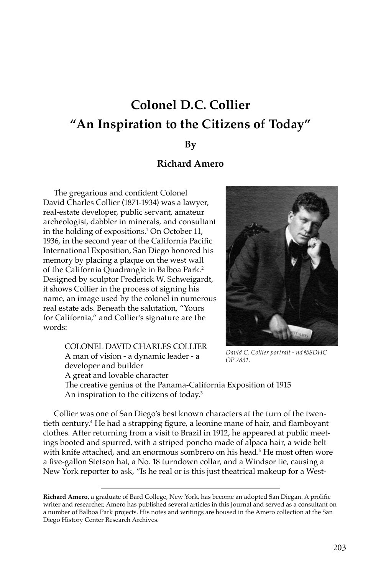# **Colonel D.C. Collier "An Inspiration to the Citizens of Today"**

#### **By**

## **Richard Amero**

The gregarious and confident Colonel David Charles Collier (1871-1934) was a lawyer, real-estate developer, public servant, amateur archeologist, dabbler in minerals, and consultant in the holding of expositions.<sup>1</sup> On October 11, 1936, in the second year of the California Pacific International Exposition, San Diego honored his memory by placing a plaque on the west wall of the California Quadrangle in Balboa Park.2 Designed by sculptor Frederick W. Schweigardt, it shows Collier in the process of signing his name, an image used by the colonel in numerous real estate ads. Beneath the salutation, "Yours for California," and Collier's signature are the words:

> COLONEL DAVID CHARLES COLLIER A man of vision - a dynamic leader - a developer and builder A great and lovable character



*David C. Collier portrait - nd ©SDHC OP 7831.*

The creative genius of the Panama-California Exposition of 1915 An inspiration to the citizens of today.3

Collier was one of San Diego's best known characters at the turn of the twentieth century.4 He had a strapping figure, a leonine mane of hair, and flamboyant clothes. After returning from a visit to Brazil in 1912, he appeared at public meetings booted and spurred, with a striped poncho made of alpaca hair, a wide belt with knife attached, and an enormous sombrero on his head.5 He most often wore a five-gallon Stetson hat, a No. 18 turndown collar, and a Windsor tie, causing a New York reporter to ask, "Is he real or is this just theatrical makeup for a West-

**Richard Amero,** a graduate of Bard College, New York, has become an adopted San Diegan. A prolific writer and researcher, Amero has published several articles in this Journal and served as a consultant on a number of Balboa Park projects. His notes and writings are housed in the Amero collection at the San Diego History Center Research Archives.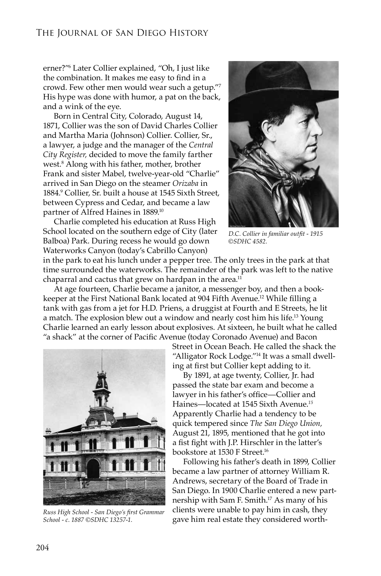erner?"6 Later Collier explained, "Oh, I just like the combination. It makes me easy to find in a crowd. Few other men would wear such a getup."7 His hype was done with humor, a pat on the back, and a wink of the eye.

Born in Central City, Colorado, August 14, 1871, Collier was the son of David Charles Collier and Martha Maria (Johnson) Collier. Collier, Sr., a lawyer, a judge and the manager of the *Central City Register,* decided to move the family farther west.8 Along with his father, mother, brother Frank and sister Mabel, twelve-year-old "Charlie" arrived in San Diego on the steamer *Orizaba* in 1884.9 Collier, Sr. built a house at 1545 Sixth Street, between Cypress and Cedar, and became a law partner of Alfred Haines in 1889.10

Charlie completed his education at Russ High School located on the southern edge of City (later Balboa) Park. During recess he would go down Waterworks Canyon (today's Cabrillo Canyon)



*D.C. Collier in familiar outfit - 1915 ©SDHC 4582.*

in the park to eat his lunch under a pepper tree. The only trees in the park at that time surrounded the waterworks. The remainder of the park was left to the native chaparral and cactus that grew on hardpan in the area. $11$ 

At age fourteen, Charlie became a janitor, a messenger boy, and then a bookkeeper at the First National Bank located at 904 Fifth Avenue.12 While filling a tank with gas from a jet for H.D. Priens, a druggist at Fourth and E Streets, he lit a match. The explosion blew out a window and nearly cost him his life.13 Young Charlie learned an early lesson about explosives. At sixteen, he built what he called "a shack" at the corner of Pacific Avenue (today Coronado Avenue) and Bacon



*Russ High School - San Diego's first Grammar School - c. 1887 ©SDHC 13257-1.*

Street in Ocean Beach. He called the shack the "Alligator Rock Lodge."14 It was a small dwelling at first but Collier kept adding to it.

By 1891, at age twenty, Collier, Jr. had passed the state bar exam and become a lawyer in his father's office—Collier and Haines—located at 1545 Sixth Avenue.*<sup>15</sup>* Apparently Charlie had a tendency to be quick tempered since *The San Diego Union,* August 21, 1895, mentioned that he got into a fist fight with J.P. Hirschler in the latter's bookstore at 1530 F Street.16

Following his father's death in 1899, Collier became a law partner of attorney William R. Andrews, secretary of the Board of Trade in San Diego. In 1900 Charlie entered a new partnership with Sam F. Smith.17 As many of his clients were unable to pay him in cash, they gave him real estate they considered worth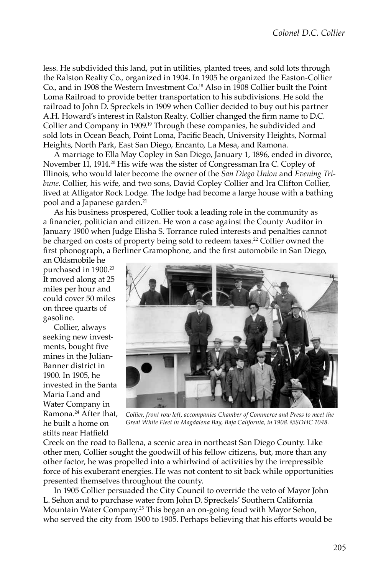less. He subdivided this land, put in utilities, planted trees, and sold lots through the Ralston Realty Co., organized in 1904. In 1905 he organized the Easton-Collier Co., and in 1908 the Western Investment Co.18 Also in 1908 Collier built the Point Loma Railroad to provide better transportation to his subdivisions. He sold the railroad to John D. Spreckels in 1909 when Collier decided to buy out his partner A.H. Howard's interest in Ralston Realty. Collier changed the firm name to D.C. Collier and Company in 1909.19 Through these companies, he subdivided and sold lots in Ocean Beach, Point Loma, Pacific Beach, University Heights, Normal Heights, North Park, East San Diego, Encanto, La Mesa, and Ramona.

A marriage to Ella May Copley in San Diego, January 1, 1896, ended in divorce, November 11, 1914.20 His wife was the sister of Congressman Ira C. Copley of Illinois, who would later become the owner of the *San Diego Union* and *Evening Tribune*. Collier, his wife, and two sons, David Copley Collier and Ira Clifton Collier, lived at Alligator Rock Lodge. The lodge had become a large house with a bathing pool and a Japanese garden.<sup>21</sup>

As his business prospered, Collier took a leading role in the community as a financier, politician and citizen. He won a case against the County Auditor in January 1900 when Judge Elisha S. Torrance ruled interests and penalties cannot be charged on costs of property being sold to redeem taxes.<sup>22</sup> Collier owned the first phonograph, a Berliner Gramophone, and the first automobile in San Diego,

an Oldsmobile he purchased in 1900.23 It moved along at 25 miles per hour and could cover 50 miles on three quarts of gasoline.

Collier, always seeking new investments, bought five mines in the Julian-Banner district in 1900. In 1905, he invested in the Santa Maria Land and Water Company in Ramona.24 After that, he built a home on stilts near Hatfield



*Collier, front row left, accompanies Chamber of Commerce and Press to meet the Great White Fleet in Magdalena Bay, Baja California, in 1908. ©SDHC 1048.*

Creek on the road to Ballena, a scenic area in northeast San Diego County. Like other men, Collier sought the goodwill of his fellow citizens, but, more than any other factor, he was propelled into a whirlwind of activities by the irrepressible force of his exuberant energies. He was not content to sit back while opportunities presented themselves throughout the county.

In 1905 Collier persuaded the City Council to override the veto of Mayor John L. Sehon and to purchase water from John D. Spreckels' Southern California Mountain Water Company.25 This began an on-going feud with Mayor Sehon, who served the city from 1900 to 1905. Perhaps believing that his efforts would be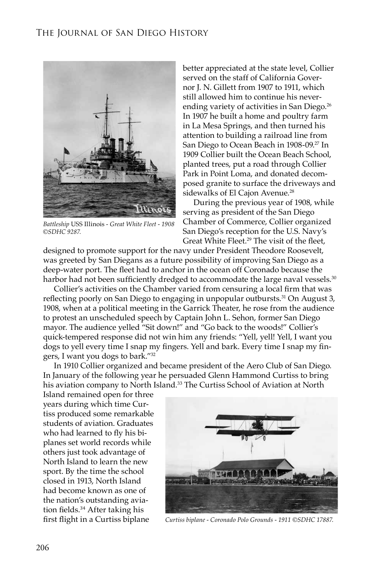

*Battleship* USS Illinois *- Great White Fleet - 1908 ©SDHC 9287.*

better appreciated at the state level, Collier served on the staff of California Governor J. N. Gillett from 1907 to 1911, which still allowed him to continue his neverending variety of activities in San Diego.<sup>26</sup> In 1907 he built a home and poultry farm in La Mesa Springs, and then turned his attention to building a railroad line from San Diego to Ocean Beach in 1908-09.<sup>27</sup> In 1909 Collier built the Ocean Beach School, planted trees, put a road through Collier Park in Point Loma, and donated decomposed granite to surface the driveways and sidewalks of El Cajon Avenue.<sup>28</sup>

During the previous year of 1908, while serving as president of the San Diego Chamber of Commerce, Collier organized San Diego's reception for the U.S. Navy's Great White Fleet.<sup>29</sup> The visit of the fleet,

designed to promote support for the navy under President Theodore Roosevelt, was greeted by San Diegans as a future possibility of improving San Diego as a deep-water port. The fleet had to anchor in the ocean off Coronado because the harbor had not been sufficiently dredged to accommodate the large naval vessels.<sup>30</sup>

Collier's activities on the Chamber varied from censuring a local firm that was reflecting poorly on San Diego to engaging in unpopular outbursts.<sup>31</sup> On August 3, 1908, when at a political meeting in the Garrick Theater, he rose from the audience to protest an unscheduled speech by Captain John L. Sehon, former San Diego mayor. The audience yelled "Sit down!" and "Go back to the woods!" Collier's quick-tempered response did not win him any friends: "Yell, yell! Yell, I want you dogs to yell every time I snap my fingers. Yell and bark. Every time I snap my fingers, I want you dogs to bark."32

In 1910 Collier organized and became president of the Aero Club of San Diego*.*  In January of the following year he persuaded Glenn Hammond Curtiss to bring his aviation company to North Island.<sup>33</sup> The Curtiss School of Aviation at North

Island remained open for three years during which time Curtiss produced some remarkable students of aviation. Graduates who had learned to fly his biplanes set world records while others just took advantage of North Island to learn the new sport. By the time the school closed in 1913, North Island had become known as one of the nation's outstanding aviation fields.<sup>34</sup> After taking his first flight in a Curtiss biplane



*Curtiss biplane - Coronado Polo Grounds - 1911 ©SDHC 17887.*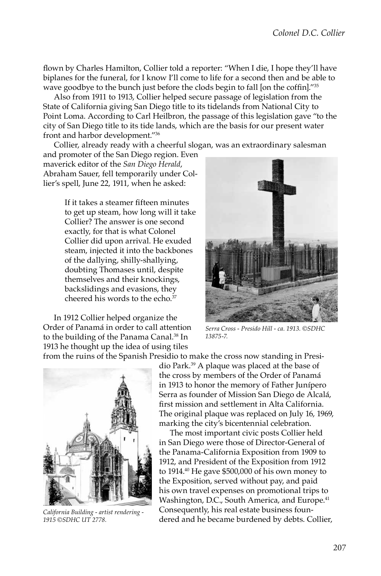flown by Charles Hamilton, Collier told a reporter: "When I die, I hope they'll have biplanes for the funeral, for I know I'll come to life for a second then and be able to wave goodbye to the bunch just before the clods begin to fall [on the coffin]."35

Also from 1911 to 1913, Collier helped secure passage of legislation from the State of California giving San Diego title to its tidelands from National City to Point Loma. According to Carl Heilbron, the passage of this legislation gave "to the city of San Diego title to its tide lands, which are the basis for our present water front and harbor development."36

Collier, already ready with a cheerful slogan, was an extraordinary salesman

and promoter of the San Diego region. Even maverick editor of the *San Diego Herald*, Abraham Sauer, fell temporarily under Collier's spell, June 22, 1911, when he asked:

> If it takes a steamer fifteen minutes to get up steam, how long will it take Collier? The answer is one second exactly, for that is what Colonel Collier did upon arrival. He exuded steam, injected it into the backbones of the dallying, shilly-shallying, doubting Thomases until, despite themselves and their knockings, backslidings and evasions, they cheered his words to the echo.<sup>37</sup>

In 1912 Collier helped organize the Order of Panamá in order to call attention to the building of the Panama Canal.<sup>38</sup> In 1913 he thought up the idea of using tiles from the ruins of the Spanish Presidio to make the cross now standing in Presi-



*Serra Cross - Presido Hill - ca. 1913. ©SDHC 13875-7.*



*California Building - artist rendering - 1915 ©SDHC UT 2778.*

dio Park.39 A plaque was placed at the base of the cross by members of the Order of Panamá in 1913 to honor the memory of Father Junípero Serra as founder of Mission San Diego de Alcalá, first mission and settlement in Alta California. The original plaque was replaced on July 16, 1969, marking the city's bicentennial celebration.

The most important civic posts Collier held in San Diego were those of Director-General of the Panama-California Exposition from 1909 to 1912, and President of the Exposition from 1912 to 1914.40 He gave \$500,000 of his own money to the Exposition, served without pay, and paid his own travel expenses on promotional trips to Washington, D.C., South America, and Europe.<sup>41</sup> Consequently, his real estate business foundered and he became burdened by debts. Collier,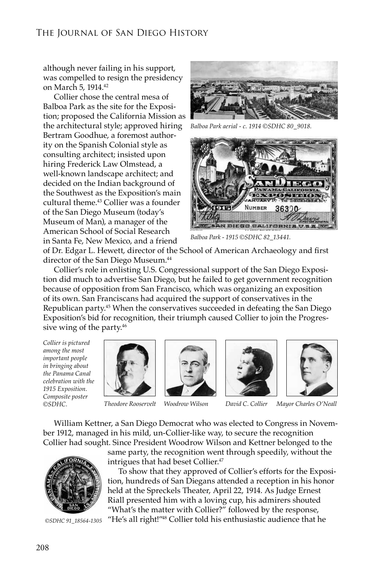although never failing in his support, was compelled to resign the presidency on March 5, 1914.42

Collier chose the central mesa of Balboa Park as the site for the Exposition; proposed the California Mission as the architectural style; approved hiring Bertram Goodhue, a foremost authority on the Spanish Colonial style as consulting architect; insisted upon hiring Frederick Law Olmstead, a well-known landscape architect; and decided on the Indian background of the Southwest as the Exposition's main cultural theme.43 Collier was a founder of the San Diego Museum (today's Museum of Man), a manager of the American School of Social Research in Santa Fe, New Mexico, and a friend



*Balboa Park aerial - c. 1914 ©SDHC 80\_9018.*



*Balboa Park - 1915 ©SDHC 82\_13441.*

of Dr. Edgar L. Hewett, director of the School of American Archaeology and first director of the San Diego Museum.44

Collier's role in enlisting U.S. Congressional support of the San Diego Exposition did much to advertise San Diego, but he failed to get government recognition because of opposition from San Francisco, which was organizing an exposition of its own. San Franciscans had acquired the support of conservatives in the Republican party.<sup>45</sup> When the conservatives succeeded in defeating the San Diego Exposition's bid for recognition, their triumph caused Collier to join the Progressive wing of the party.<sup>46</sup>

*Collier is pictured among the most important people in bringing about the Panama Canal celebration with the 1915 Exposition. Composite poster ©SDHC.*









*Theodore Rooservelt Woodrow Wilson David C. Collier Mayor Charles O'Neall*

William Kettner, a San Diego Democrat who was elected to Congress in November 1912, managed in his mild, un-Collier-like way, to secure the recognition Collier had sought. Since President Woodrow Wilson and Kettner belonged to the



*©SDHC 91\_18564-1305*

same party, the recognition went through speedily, without the intrigues that had beset Collier.47

To show that they approved of Collier's efforts for the Exposition, hundreds of San Diegans attended a reception in his honor held at the Spreckels Theater, April 22, 1914. As Judge Ernest Riall presented him with a loving cup, his admirers shouted "What's the matter with Collier?" followed by the response, "He's all right!"48 Collier told his enthusiastic audience that he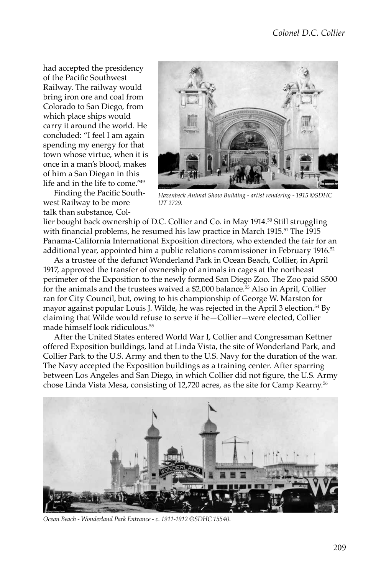had accepted the presidency of the Pacific Southwest Railway. The railway would bring iron ore and coal from Colorado to San Diego, from which place ships would carry it around the world. He concluded: "I feel I am again spending my energy for that town whose virtue, when it is once in a man's blood, makes of him a San Diegan in this life and in the life to come."49

Finding the Pacific Southwest Railway to be more talk than substance, Col-



*Hazenbeck Animal Show Building - artist rendering - 1915 ©SDHC UT 2729.*

lier bought back ownership of D.C. Collier and Co. in May 1914.50 Still struggling with financial problems, he resumed his law practice in March 1915.<sup>51</sup> The 1915 Panama-California International Exposition directors, who extended the fair for an additional year, appointed him a public relations commissioner in February 1916.<sup>52</sup>

As a trustee of the defunct Wonderland Park in Ocean Beach, Collier, in April 1917, approved the transfer of ownership of animals in cages at the northeast perimeter of the Exposition to the newly formed San Diego Zoo. The Zoo paid \$500 for the animals and the trustees waived a \$2,000 balance.53 Also in April, Collier ran for City Council, but, owing to his championship of George W. Marston for mayor against popular Louis J. Wilde, he was rejected in the April 3 election.54 By claiming that Wilde would refuse to serve if he*—*Collier*—*were elected, Collier made himself look ridiculous.55

After the United States entered World War I, Collier and Congressman Kettner offered Exposition buildings, land at Linda Vista, the site of Wonderland Park, and Collier Park to the U.S. Army and then to the U.S. Navy for the duration of the war. The Navy accepted the Exposition buildings as a training center. After sparring between Los Angeles and San Diego, in which Collier did not figure, the U.S. Army chose Linda Vista Mesa, consisting of 12,720 acres, as the site for Camp Kearny.56



*Ocean Beach - Wonderland Park Entrance - c. 1911-1912 ©SDHC 15540.*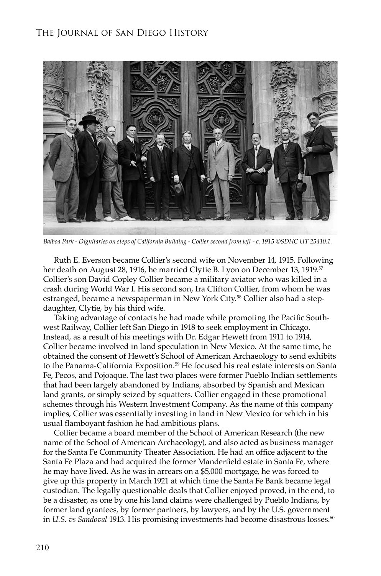

*Balboa Park - Dignitaries on steps of California Building - Collier second from left - c. 1915 ©SDHC UT 25410.1.*

Ruth E. Everson became Collier's second wife on November 14, 1915. Following her death on August 28, 1916, he married Clytie B. Lyon on December 13, 1919.<sup>57</sup> Collier's son David Copley Collier became a military aviator who was killed in a crash during World War I. His second son, Ira Clifton Collier, from whom he was estranged, became a newspaperman in New York City.58 Collier also had a stepdaughter, Clytie, by his third wife.

Taking advantage of contacts he had made while promoting the Pacific Southwest Railway, Collier left San Diego in 1918 to seek employment in Chicago. Instead, as a result of his meetings with Dr. Edgar Hewett from 1911 to 1914, Collier became involved in land speculation in New Mexico. At the same time, he obtained the consent of Hewett's School of American Archaeology to send exhibits to the Panama-California Exposition.<sup>59</sup> He focused his real estate interests on Santa Fe, Pecos, and Pojoaque. The last two places were former Pueblo Indian settlements that had been largely abandoned by Indians, absorbed by Spanish and Mexican land grants, or simply seized by squatters. Collier engaged in these promotional schemes through his Western Investment Company. As the name of this company implies, Collier was essentially investing in land in New Mexico for which in his usual flamboyant fashion he had ambitious plans.

Collier became a board member of the School of American Research (the new name of the School of American Archaeology), and also acted as business manager for the Santa Fe Community Theater Association. He had an office adjacent to the Santa Fe Plaza and had acquired the former Manderfield estate in Santa Fe, where he may have lived. As he was in arrears on a \$5,000 mortgage, he was forced to give up this property in March 1921 at which time the Santa Fe Bank became legal custodian. The legally questionable deals that Collier enjoyed proved, in the end, to be a disaster, as one by one his land claims were challenged by Pueblo Indians, by former land grantees, by former partners, by lawyers, and by the U.S. government in *U.S. vs Sandoval* 1913. His promising investments had become disastrous losses.<sup>60</sup>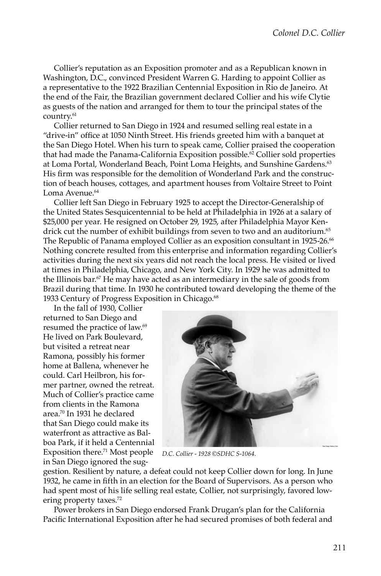Collier's reputation as an Exposition promoter and as a Republican known in Washington, D.C., convinced President Warren G. Harding to appoint Collier as a representative to the 1922 Brazilian Centennial Exposition in Rio de Janeiro. At the end of the Fair, the Brazilian government declared Collier and his wife Clytie as guests of the nation and arranged for them to tour the principal states of the country.<sup>61</sup>

Collier returned to San Diego in 1924 and resumed selling real estate in a "drive-in" office at 1050 Ninth Street. His friends greeted him with a banquet at the San Diego Hotel. When his turn to speak came, Collier praised the cooperation that had made the Panama-California Exposition possible.<sup>62</sup> Collier sold properties at Loma Portal, Wonderland Beach, Point Loma Heights, and Sunshine Gardens.<sup>63</sup> His firm was responsible for the demolition of Wonderland Park and the construction of beach houses, cottages, and apartment houses from Voltaire Street to Point Loma Avenue.<sup>64</sup>

Collier left San Diego in February 1925 to accept the Director-Generalship of the United States Sesquicentennial to be held at Philadelphia in 1926 at a salary of \$25,000 per year. He resigned on October 29, 1925, after Philadelphia Mayor Kendrick cut the number of exhibit buildings from seven to two and an auditorium.<sup>65</sup> The Republic of Panama employed Collier as an exposition consultant in 1925-26.<sup>66</sup> Nothing concrete resulted from this enterprise and information regarding Collier's activities during the next six years did not reach the local press. He visited or lived at times in Philadelphia, Chicago, and New York City. In 1929 he was admitted to the Illinois bar.67 He may have acted as an intermediary in the sale of goods from Brazil during that time. In 1930 he contributed toward developing the theme of the 1933 Century of Progress Exposition in Chicago.<sup>68</sup>

In the fall of 1930, Collier returned to San Diego and resumed the practice of law.69 He lived on Park Boulevard, but visited a retreat near Ramona, possibly his former home at Ballena, whenever he could. Carl Heilbron, his former partner, owned the retreat. Much of Collier's practice came from clients in the Ramona area.70 In 1931 he declared that San Diego could make its waterfront as attractive as Balboa Park, if it held a Centennial Exposition there.71 Most people in San Diego ignored the sug-



*D.C. Collier - 1928 ©SDHC S-1064.*

gestion. Resilient by nature, a defeat could not keep Collier down for long. In June 1932, he came in fifth in an election for the Board of Supervisors. As a person who had spent most of his life selling real estate, Collier, not surprisingly, favored lowering property taxes.<sup>72</sup>

Power brokers in San Diego endorsed Frank Drugan's plan for the California Pacific International Exposition after he had secured promises of both federal and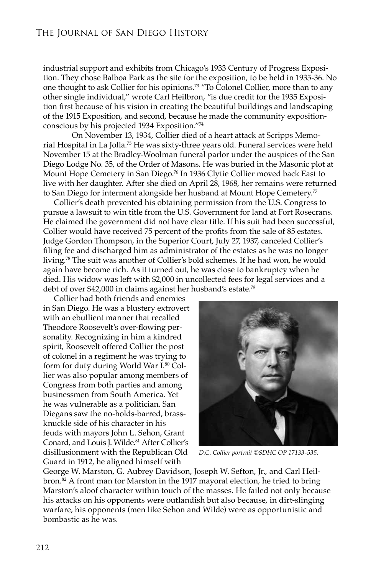industrial support and exhibits from Chicago's 1933 Century of Progress Exposition. They chose Balboa Park as the site for the exposition, to be held in 1935-36. No one thought to ask Collier for his opinions.73 "To Colonel Collier, more than to any other single individual," wrote Carl Heilbron, "is due credit for the 1935 Exposition first because of his vision in creating the beautiful buildings and landscaping of the 1915 Exposition, and second, because he made the community expositionconscious by his projected 1934 Exposition."74

 On November 13, 1934, Collier died of a heart attack at Scripps Memorial Hospital in La Jolla.75 He was sixty-three years old. Funeral services were held November 15 at the Bradley-Woolman funeral parlor under the auspices of the San Diego Lodge No. 35, of the Order of Masons. He was buried in the Masonic plot at Mount Hope Cemetery in San Diego.76 In 1936 Clytie Collier moved back East to live with her daughter. After she died on April 28, 1968, her remains were returned to San Diego for interment alongside her husband at Mount Hope Cemetery.<sup>77</sup>

Collier's death prevented his obtaining permission from the U.S. Congress to pursue a lawsuit to win title from the U.S. Government for land at Fort Rosecrans. He claimed the government did not have clear title. If his suit had been successful, Collier would have received 75 percent of the profits from the sale of 85 estates. Judge Gordon Thompson, in the Superior Court, July 27, 1937, canceled Collier's filing fee and discharged him as administrator of the estates as he was no longer living.78 The suit was another of Collier's bold schemes. If he had won, he would again have become rich. As it turned out, he was close to bankruptcy when he died. His widow was left with \$2,000 in uncollected fees for legal services and a debt of over \$42,000 in claims against her husband's estate.79

Collier had both friends and enemies in San Diego. He was a blustery extrovert with an ebullient manner that recalled Theodore Roosevelt's over-flowing personality. Recognizing in him a kindred spirit, Roosevelt offered Collier the post of colonel in a regiment he was trying to form for duty during World War I.80 Collier was also popular among members of Congress from both parties and among businessmen from South America. Yet he was vulnerable as a politician. San Diegans saw the no-holds-barred, brassknuckle side of his character in his feuds with mayors John L. Sehon, Grant Conard, and Louis J. Wilde.<sup>81</sup> After Collier's disillusionment with the Republican Old Guard in 1912, he aligned himself with



*D.C. Collier portrait ©SDHC OP 17133-535.*

George W. Marston, G. Aubrey Davidson, Joseph W. Sefton, Jr., and Carl Heilbron.82 A front man for Marston in the 1917 mayoral election, he tried to bring Marston's aloof character within touch of the masses. He failed not only because his attacks on his opponents were outlandish but also because, in dirt-slinging warfare, his opponents (men like Sehon and Wilde) were as opportunistic and bombastic as he was.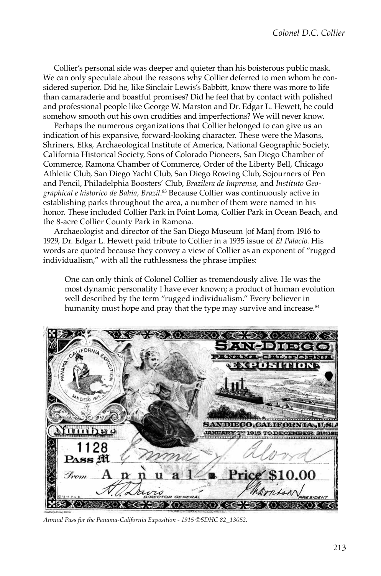Collier's personal side was deeper and quieter than his boisterous public mask. We can only speculate about the reasons why Collier deferred to men whom he considered superior. Did he, like Sinclair Lewis's Babbitt, know there was more to life than camaraderie and boastful promises? Did he feel that by contact with polished and professional people like George W. Marston and Dr. Edgar L. Hewett, he could somehow smooth out his own crudities and imperfections? We will never know.

Perhaps the numerous organizations that Collier belonged to can give us an indication of his expansive, forward-looking character. These were the Masons, Shriners, Elks, Archaeological Institute of America, National Geographic Society, California Historical Society, Sons of Colorado Pioneers, San Diego Chamber of Commerce, Ramona Chamber of Commerce, Order of the Liberty Bell, Chicago Athletic Club, San Diego Yacht Club, San Diego Rowing Club, Sojourners of Pen and Pencil, Philadelphia Boosters' Club, *Brazilera de Imprensa*, and *Instituto Geographical e historico de Bahia, Brazil*. 83 Because Collier was continuously active in establishing parks throughout the area, a number of them were named in his honor. These included Collier Park in Point Loma, Collier Park in Ocean Beach, and the 8-acre Collier County Park in Ramona.

Archaeologist and director of the San Diego Museum [of Man] from 1916 to 1929, Dr. Edgar L. Hewett paid tribute to Collier in a 1935 issue of *El Palacio*. His words are quoted because they convey a view of Collier as an exponent of "rugged individualism," with all the ruthlessness the phrase implies:

One can only think of Colonel Collier as tremendously alive. He was the most dynamic personality I have ever known; a product of human evolution well described by the term "rugged individualism." Every believer in humanity must hope and pray that the type may survive and increase.<sup>84</sup>



*Annual Pass for the Panama-California Exposition - 1915 ©SDHC 82\_13052.*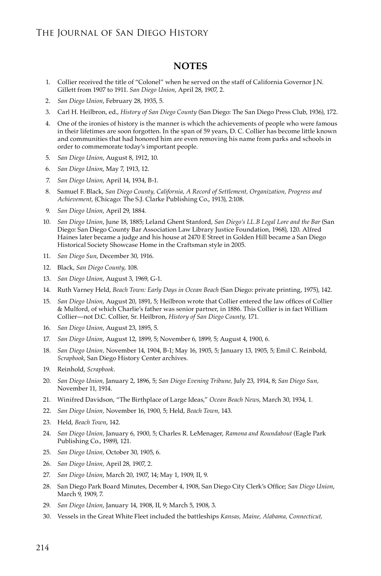#### **NOTES**

- 1. Collier received the title of "Colonel" when he served on the staff of California Governor J.N. Gillett from 1907 to 1911. *San Diego Union*, April 28, 1907, 2.
- 2. *San Diego Union*, February 28, 1935, 5.
- 3. Carl H. Heilbron, ed., *History of San Diego County* (San Diego: The San Diego Press Club, 1936), 172.
- 4. One of the ironies of history is the manner is which the achievements of people who were famous in their lifetimes are soon forgotten. In the span of 59 years, D. C. Collier has become little known and communities that had honored him are even removing his name from parks and schools in order to commemorate today's important people.
- 5. *San Diego Union*, August 8, 1912, 10.
- 6. *San Diego Union*, May 7, 1913, 12.
- 7. *San Diego Union*, April 14, 1934, B-1.
- 8. Samuel F. Black, *San Diego County, California, A Record of Settlement, Organization, Progress and Achievement*, (Chicago: The S.J. Clarke Publishing Co., 1913), 2:108.
- 9. *San Diego Union*, April 29, 1884.
- 10. *San Diego Union*, June 18, 1885; Leland Ghent Stanford, *San Diego's LL.B Legal Lore and the Bar* (San Diego: San Diego County Bar Association Law Library Justice Foundation, 1968), 120. Alfred Haines later became a judge and his house at 2470 E Street in Golden Hill became a San Diego Historical Society Showcase Home in the Craftsman style in 2005.
- 11. *San Diego Sun*, December 30, 1916.
- 12. Black, *San Diego County*, 108.
- 13. *San Diego Union*, August 3, 1969, G-1.
- 14. Ruth Varney Held, *Beach Town: Early Days in Ocean Beach* (San Diego: private printing, 1975), 142.
- 15. *San Diego Union*, August 20, 1891, 5; Heilbron wrote that Collier entered the law offices of Collier & Mulford, of which Charlie's father was senior partner, in 1886. This Collier is in fact William Collier—not D.C. Collier, Sr. Heilbron, *History of San Diego County,* 171.
- 16. *San Diego Union*, August 23, 1895, 5.
- 17. *San Diego Union*, August 12, 1899, 5; November 6, 1899, 5; August 4, 1900, 6.
- 18. *San Diego Union,* November 14, 1904, B-1; May 16, 1905, 5; January 13, 1905, 5; Emil C. Reinbold, *Scrapbook*, San Diego History Center archives.
- 19. Reinhold, *Scrapbook*.
- 20. *San Diego Union,* January 2, 1896, 5; *San Diego Evening Tribune,* July 23, 1914, 8; *San Diego Sun,* November 11, 1914.
- 21. Winifred Davidson, "The Birthplace of Large Ideas," *Ocean Beach News*, March 30, 1934, 1.
- 22. *San Diego Union,* November 16, 1900, 5; Held, *Beach Town*, 143.
- 23. Held, *Beach Town*, 142.
- 24. *San Diego Union,* January 6, 1900, 5; Charles R. LeMenager, *Ramona and Roundabout* (Eagle Park Publishing Co., 1989), 121.
- 25. *San Diego Union,* October 30, 1905, 6.
- 26. *San Diego Union,* April 28, 1907, 2.
- 27. *San Diego Union*, March 20, 1907, 14; May 1, 1909, II, 9.
- 28. San Diego Park Board Minutes, December 4, 1908, San Diego City Clerk's Office; *San Diego Union*, March 9, 1909, 7.
- 29. *San Diego Union*, January 14, 1908, II, 9; March 5, 1908, 3.
- 30. Vessels in the Great White Fleet included the battleships *Kansas, Maine, Alabama, Connecticut,*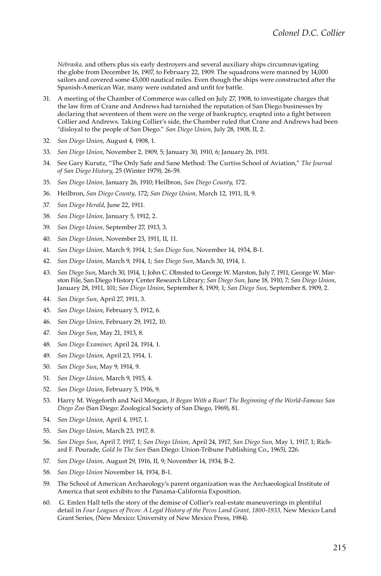*Nebraska,* and others plus six early destroyers and several auxiliary ships circumnavigating the globe from December 16, 1907, to February 22, 1909. The squadrons were manned by 14,000 sailors and covered some 43,000 nautical miles. Even though the ships were constructed after the Spanish-American War, many were outdated and unfit for battle.

- 31. A meeting of the Chamber of Commerce was called on July 27, 1908, to investigate charges that the law firm of Crane and Andrews had tarnished the reputation of San Diego businesses by declaring that seventeen of them were on the verge of bankruptcy, erupted into a fight between Collier and Andrews. Taking Collier's side, the Chamber ruled that Crane and Andrews had been "disloyal to the people of San Diego." *San Diego Union*, July 28, 1908, II, 2.
- 32. *San Diego Union*, August 4, 1908, 1.
- 33. *San Diego Union*, November 2, 1909, 5; January 30, 1910, 6; January 26, 1931.
- 34. See Gary Kurutz, "The Only Safe and Sane Method: The Curtiss School of Aviation," *The Journal of San Diego History*, 25 (Winter 1979), 26-59.
- 35. *San Diego Union,* January 26, 1910; Heilbron, *San Diego County*, 172.
- 36. Heilbron, *San Diego County*, 172; *San Diego Union,* March 12, 1911, II, 9.
- 37. *San Diego Herald*, June 22, 1911.
- 38. *San Diego Union,* January 5, 1912, 2.
- 39. *San Diego Union,* September 27, 1913, 3.
- 40. *San Diego Union,* November 23, 1911, II, 11.
- 41. *San Diego Union,* March 9, 1914, 1; *San Diego Sun,* November 14, 1934, B-1.
- 42. *San Diego Union*, March 9, 1914, 1; *San Diego Sun*, March 30, 1914, 1.
- 43. *San Diego Sun*, March 30, 1914, 1; John C. Olmsted to George W. Marston, July 7, 1911, George W. Marston File, San Diego History Center Research Library; *San Diego Sun,* June 18, 1910, 7; *San Diego Union*, January 28, 1911, 101; *San Diego Union*, September 8, 1909, 1; *San Diego Sun*, September 8, 1909, 2.
- 44. *San Diego Sun*, April 27, 1911, 3.
- 45. *San Diego Union*, February 5, 1912, 6.
- 46. *San Diego Union*, February 29, 1912, 10.
- 47. *San Diego Sun*, May 21, 1913, 8.
- 48. *San Diego Examiner*, April 24, 1914, 1.
- 49. *San Diego Union*, April 23, 1914, 1.
- 50. *San Diego Sun*, May 9, 1914, 9.
- 51. *San Diego Union*, March 9, 1915, 4.
- 52. *San Diego Union*, February 5, 1916, 9.
- 53. Harry M. Wegeforth and Neil Morgan, *It Began With a Roar! The Beginning of the World-Famous San Diego Zoo* (San Diego: Zoological Society of San Diego, 1969), 81.
- 54. *San Diego Union*, April 4, 1917, 1.
- 55. *San Diego Union*, March 23, 1917, 8.
- 56. *San Diego Sun*, April 7, 1917, 1; *San Diego Union*, April 24, 1917, *San Diego Sun*, May 1, 1917, 1; Richard F. Pourade, *Gold In The Sun* (San Diego: Union-Tribune Publishing Co., 1965), 226.
- 57. *San Diego Union,* August 29, 1916, II, 9; November 14, 1934, B-2.
- 58. *San Diego Union* November 14, 1934, B-1.
- 59. The School of American Archaeology's parent organization was the Archaeological Institute of America that sent exhibits to the Panama-California Exposition.
- 60. G. Emlen Hall tells the story of the demise of Collier's real-estate maneuverings in plentiful detail in *Four Leagues of Pecos: A Legal History of the Pecos Land Grant, 1800-1933,* New Mexico Land Grant Series, (New Mexico: University of New Mexico Press, 1984).